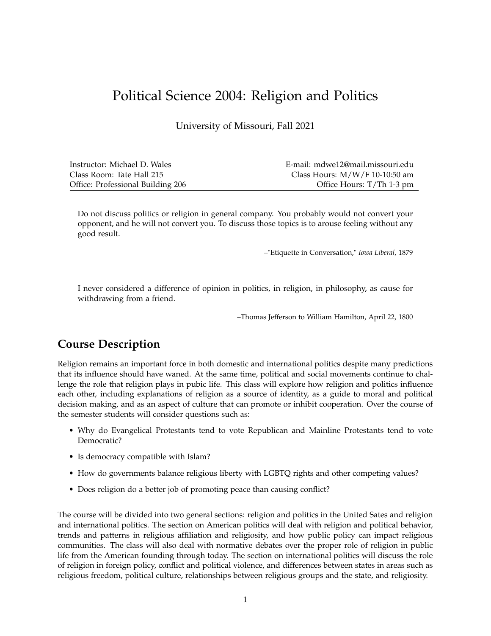# Political Science 2004: Religion and Politics

University of Missouri, Fall 2021

| Instructor: Michael D. Wales      | E-mail: mdwe12@mail.missouri.edu |
|-----------------------------------|----------------------------------|
| Class Room: Tate Hall 215         | Class Hours: $M/W/F$ 10-10:50 am |
| Office: Professional Building 206 | Office Hours: T/Th 1-3 pm        |

Do not discuss politics or religion in general company. You probably would not convert your opponent, and he will not convert you. To discuss those topics is to arouse feeling without any good result.

–"Etiquette in Conversation," *Iowa Liberal*, 1879

I never considered a difference of opinion in politics, in religion, in philosophy, as cause for withdrawing from a friend.

–Thomas Jefferson to William Hamilton, April 22, 1800

## **Course Description**

Religion remains an important force in both domestic and international politics despite many predictions that its influence should have waned. At the same time, political and social movements continue to challenge the role that religion plays in pubic life. This class will explore how religion and politics influence each other, including explanations of religion as a source of identity, as a guide to moral and political decision making, and as an aspect of culture that can promote or inhibit cooperation. Over the course of the semester students will consider questions such as:

- Why do Evangelical Protestants tend to vote Republican and Mainline Protestants tend to vote Democratic?
- Is democracy compatible with Islam?
- How do governments balance religious liberty with LGBTQ rights and other competing values?
- Does religion do a better job of promoting peace than causing conflict?

The course will be divided into two general sections: religion and politics in the United Sates and religion and international politics. The section on American politics will deal with religion and political behavior, trends and patterns in religious affiliation and religiosity, and how public policy can impact religious communities. The class will also deal with normative debates over the proper role of religion in public life from the American founding through today. The section on international politics will discuss the role of religion in foreign policy, conflict and political violence, and differences between states in areas such as religious freedom, political culture, relationships between religious groups and the state, and religiosity.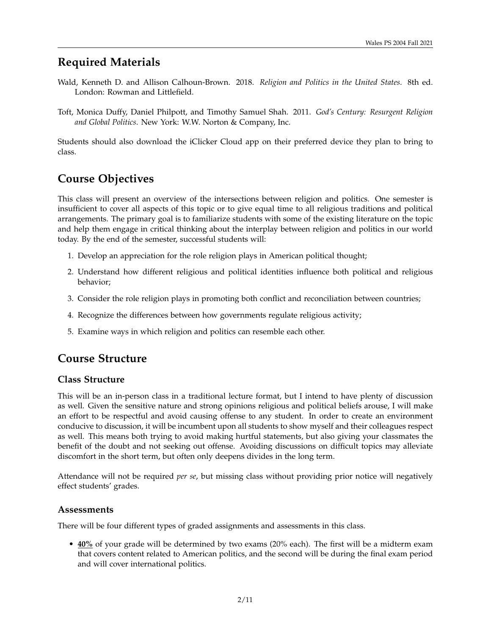## **Required Materials**

- Wald, Kenneth D. and Allison Calhoun-Brown. 2018. *Religion and Politics in the United States*. 8th ed. London: Rowman and Littlefield.
- Toft, Monica Duffy, Daniel Philpott, and Timothy Samuel Shah. 2011. *God's Century: Resurgent Religion and Global Politics*. New York: W.W. Norton & Company, Inc.

Students should also download the iClicker Cloud app on their preferred device they plan to bring to class.

## **Course Objectives**

This class will present an overview of the intersections between religion and politics. One semester is insufficient to cover all aspects of this topic or to give equal time to all religious traditions and political arrangements. The primary goal is to familiarize students with some of the existing literature on the topic and help them engage in critical thinking about the interplay between religion and politics in our world today. By the end of the semester, successful students will:

- 1. Develop an appreciation for the role religion plays in American political thought;
- 2. Understand how different religious and political identities influence both political and religious behavior;
- 3. Consider the role religion plays in promoting both conflict and reconciliation between countries;
- 4. Recognize the differences between how governments regulate religious activity;
- 5. Examine ways in which religion and politics can resemble each other.

## **Course Structure**

### **Class Structure**

This will be an in-person class in a traditional lecture format, but I intend to have plenty of discussion as well. Given the sensitive nature and strong opinions religious and political beliefs arouse, I will make an effort to be respectful and avoid causing offense to any student. In order to create an environment conducive to discussion, it will be incumbent upon all students to show myself and their colleagues respect as well. This means both trying to avoid making hurtful statements, but also giving your classmates the benefit of the doubt and not seeking out offense. Avoiding discussions on difficult topics may alleviate discomfort in the short term, but often only deepens divides in the long term.

Attendance will not be required *per se*, but missing class without providing prior notice will negatively effect students' grades.

#### **Assessments**

There will be four different types of graded assignments and assessments in this class.

• **40%** of your grade will be determined by two exams (20% each). The first will be a midterm exam that covers content related to American politics, and the second will be during the final exam period and will cover international politics.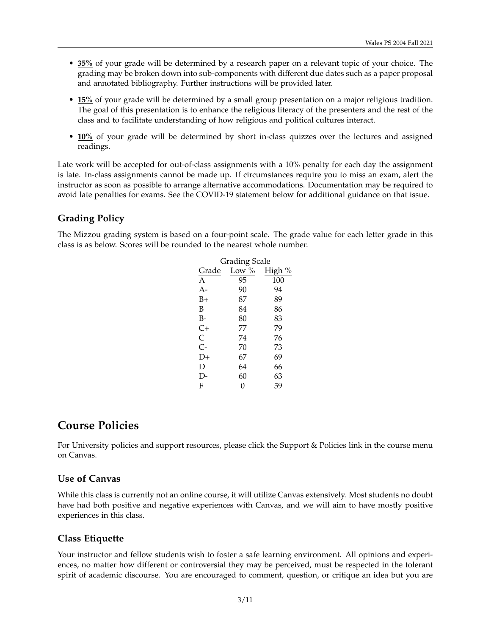- **35%** of your grade will be determined by a research paper on a relevant topic of your choice. The grading may be broken down into sub-components with different due dates such as a paper proposal and annotated bibliography. Further instructions will be provided later.
- **15%** of your grade will be determined by a small group presentation on a major religious tradition. The goal of this presentation is to enhance the religious literacy of the presenters and the rest of the class and to facilitate understanding of how religious and political cultures interact.
- **10%** of your grade will be determined by short in-class quizzes over the lectures and assigned readings.

Late work will be accepted for out-of-class assignments with a 10% penalty for each day the assignment is late. In-class assignments cannot be made up. If circumstances require you to miss an exam, alert the instructor as soon as possible to arrange alternative accommodations. Documentation may be required to avoid late penalties for exams. See the COVID-19 statement below for additional guidance on that issue.

### **Grading Policy**

The Mizzou grading system is based on a four-point scale. The grade value for each letter grade in this class is as below. Scores will be rounded to the nearest whole number.

| Grading Scale |          |        |  |
|---------------|----------|--------|--|
| Grade         | Low $\%$ | High % |  |
| A             | 95       | 100    |  |
| $A -$         | 90       | 94     |  |
| $B+$          | 87       | 89     |  |
| B             | 84       | 86     |  |
| B-            | 80       | 83     |  |
| $C+$          | 77       | 79     |  |
| $\mathsf{C}$  | 74       | 76     |  |
| $C -$         | 70       | 73     |  |
| D+            | 67       | 69     |  |
| D             | 64       | 66     |  |
| $\mathsf{I}$  | 60       | 63     |  |
| F             | 0        | 59     |  |

## **Course Policies**

For University policies and support resources, please click the Support & Policies link in the course menu on Canvas.

#### **Use of Canvas**

While this class is currently not an online course, it will utilize Canvas extensively. Most students no doubt have had both positive and negative experiences with Canvas, and we will aim to have mostly positive experiences in this class.

### **Class Etiquette**

Your instructor and fellow students wish to foster a safe learning environment. All opinions and experiences, no matter how different or controversial they may be perceived, must be respected in the tolerant spirit of academic discourse. You are encouraged to comment, question, or critique an idea but you are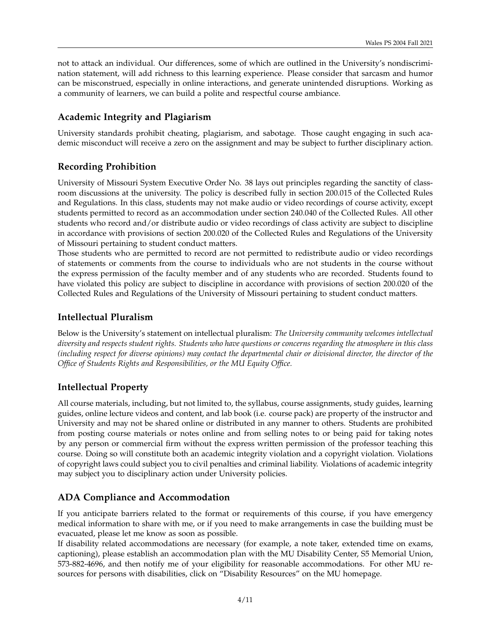not to attack an individual. Our differences, some of which are outlined in the University's nondiscrimination statement, will add richness to this learning experience. Please consider that sarcasm and humor can be misconstrued, especially in online interactions, and generate unintended disruptions. Working as a community of learners, we can build a polite and respectful course ambiance.

### **Academic Integrity and Plagiarism**

University standards prohibit cheating, plagiarism, and sabotage. Those caught engaging in such academic misconduct will receive a zero on the assignment and may be subject to further disciplinary action.

### **Recording Prohibition**

University of Missouri System Executive Order No. 38 lays out principles regarding the sanctity of classroom discussions at the university. The policy is described fully in section 200.015 of the Collected Rules and Regulations. In this class, students may not make audio or video recordings of course activity, except students permitted to record as an accommodation under section 240.040 of the Collected Rules. All other students who record and/or distribute audio or video recordings of class activity are subject to discipline in accordance with provisions of section 200.020 of the Collected Rules and Regulations of the University of Missouri pertaining to student conduct matters.

Those students who are permitted to record are not permitted to redistribute audio or video recordings of statements or comments from the course to individuals who are not students in the course without the express permission of the faculty member and of any students who are recorded. Students found to have violated this policy are subject to discipline in accordance with provisions of section 200.020 of the Collected Rules and Regulations of the University of Missouri pertaining to student conduct matters.

### **Intellectual Pluralism**

Below is the University's statement on intellectual pluralism: *The University community welcomes intellectual diversity and respects student rights. Students who have questions or concerns regarding the atmosphere in this class (including respect for diverse opinions) may contact the departmental chair or divisional director, the director of the Office of Students Rights and Responsibilities, or the MU Equity Office.*

## **Intellectual Property**

All course materials, including, but not limited to, the syllabus, course assignments, study guides, learning guides, online lecture videos and content, and lab book (i.e. course pack) are property of the instructor and University and may not be shared online or distributed in any manner to others. Students are prohibited from posting course materials or notes online and from selling notes to or being paid for taking notes by any person or commercial firm without the express written permission of the professor teaching this course. Doing so will constitute both an academic integrity violation and a copyright violation. Violations of copyright laws could subject you to civil penalties and criminal liability. Violations of academic integrity may subject you to disciplinary action under University policies.

## **ADA Compliance and Accommodation**

If you anticipate barriers related to the format or requirements of this course, if you have emergency medical information to share with me, or if you need to make arrangements in case the building must be evacuated, please let me know as soon as possible.

If disability related accommodations are necessary (for example, a note taker, extended time on exams, captioning), please establish an accommodation plan with the MU Disability Center, S5 Memorial Union, 573-882-4696, and then notify me of your eligibility for reasonable accommodations. For other MU resources for persons with disabilities, click on "Disability Resources" on the MU homepage.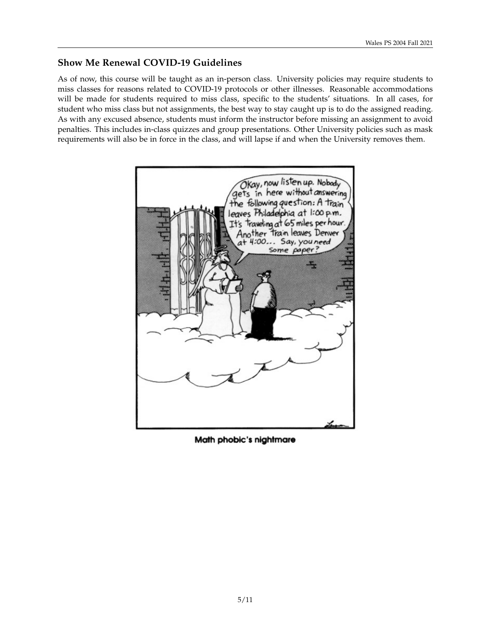### **Show Me Renewal COVID-19 Guidelines**

As of now, this course will be taught as an in-person class. University policies may require students to miss classes for reasons related to COVID-19 protocols or other illnesses. Reasonable accommodations will be made for students required to miss class, specific to the students' situations. In all cases, for student who miss class but not assignments, the best way to stay caught up is to do the assigned reading. As with any excused absence, students must inform the instructor before missing an assignment to avoid penalties. This includes in-class quizzes and group presentations. Other University policies such as mask requirements will also be in force in the class, and will lapse if and when the University removes them.



Math phobic's nightmare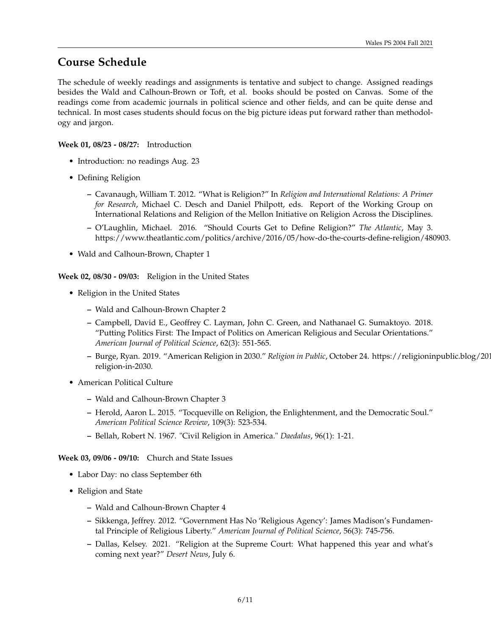## **Course Schedule**

The schedule of weekly readings and assignments is tentative and subject to change. Assigned readings besides the Wald and Calhoun-Brown or Toft, et al. books should be posted on Canvas. Some of the readings come from academic journals in political science and other fields, and can be quite dense and technical. In most cases students should focus on the big picture ideas put forward rather than methodology and jargon.

#### **Week 01, 08/23 - 08/27:** Introduction

- Introduction: no readings Aug. 23
- Defining Religion
	- **–** Cavanaugh, William T. 2012. "What is Religion?" In *Religion and International Relations: A Primer for Research*, Michael C. Desch and Daniel Philpott, eds. Report of the Working Group on International Relations and Religion of the Mellon Initiative on Religion Across the Disciplines.
	- **–** O'Laughlin, Michael. 2016. "Should Courts Get to Define Religion?" *The Atlantic*, May 3. https://www.theatlantic.com/politics/archive/2016/05/how-do-the-courts-define-religion/480903.
- Wald and Calhoun-Brown, Chapter 1

**Week 02, 08/30 - 09/03:** Religion in the United States

- Religion in the United States
	- **–** Wald and Calhoun-Brown Chapter 2
	- **–** Campbell, David E., Geoffrey C. Layman, John C. Green, and Nathanael G. Sumaktoyo. 2018. "Putting Politics First: The Impact of Politics on American Religious and Secular Orientations." *American Journal of Political Science*, 62(3): 551-565.
	- **–** Burge, Ryan. 2019. "American Religion in 2030." *Religion in Public*, October 24. https://religioninpublic.blog/2019/10/24/americanreligion-in-2030.
- American Political Culture
	- **–** Wald and Calhoun-Brown Chapter 3
	- **–** Herold, Aaron L. 2015. "Tocqueville on Religion, the Enlightenment, and the Democratic Soul." *American Political Science Review*, 109(3): 523-534.
	- **–** Bellah, Robert N. 1967. "Civil Religion in America." *Daedalus*, 96(1): 1-21.

**Week 03, 09/06 - 09/10:** Church and State Issues

- Labor Day: no class September 6th
- Religion and State
	- **–** Wald and Calhoun-Brown Chapter 4
	- **–** Sikkenga, Jeffrey. 2012. "Government Has No 'Religious Agency': James Madison's Fundamental Principle of Religious Liberty." *American Journal of Political Science*, 56(3): 745-756.
	- **–** Dallas, Kelsey. 2021. "Religion at the Supreme Court: What happened this year and what's coming next year?" *Desert News*, July 6.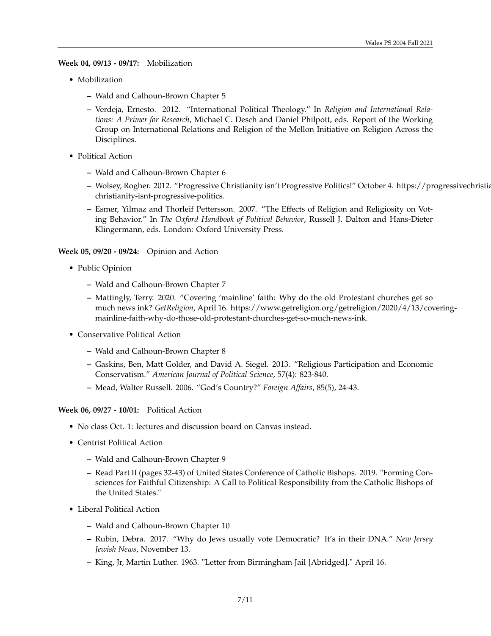**Week 04, 09/13 - 09/17:** Mobilization

- Mobilization
	- **–** Wald and Calhoun-Brown Chapter 5
	- **–** Verdeja, Ernesto. 2012. "International Political Theology." In *Religion and International Relations: A Primer for Research*, Michael C. Desch and Daniel Philpott, eds. Report of the Working Group on International Relations and Religion of the Mellon Initiative on Religion Across the Disciplines.
- Political Action
	- **–** Wald and Calhoun-Brown Chapter 6
	- **–** Wolsey, Rogher. 2012. "Progressive Christianity isn't Progressive Politics!" October 4. https://progressivechristianity.org/resources/progressivechristianity-isnt-progressive-politics.
	- **–** Esmer, Yilmaz and Thorleif Pettersson. 2007. "The Effects of Religion and Religiosity on Voting Behavior." In *The Oxford Handbook of Political Behavior*, Russell J. Dalton and Hans-Dieter Klingermann, eds. London: Oxford University Press.

#### **Week 05, 09/20 - 09/24:** Opinion and Action

- Public Opinion
	- **–** Wald and Calhoun-Brown Chapter 7
	- **–** Mattingly, Terry. 2020. "Covering 'mainline' faith: Why do the old Protestant churches get so much news ink? *GetReligion*, April 16. https://www.getreligion.org/getreligion/2020/4/13/coveringmainline-faith-why-do-those-old-protestant-churches-get-so-much-news-ink.
- Conservative Political Action
	- **–** Wald and Calhoun-Brown Chapter 8
	- **–** Gaskins, Ben, Matt Golder, and David A. Siegel. 2013. "Religious Participation and Economic Conservatism." *American Journal of Political Science*, 57(4): 823-840.
	- **–** Mead, Walter Russell. 2006. "God's Country?" *Foreign Affairs*, 85(5), 24-43.

#### **Week 06, 09/27 - 10/01:** Political Action

- No class Oct. 1: lectures and discussion board on Canvas instead.
- Centrist Political Action
	- **–** Wald and Calhoun-Brown Chapter 9
	- **–** Read Part II (pages 32-43) of United States Conference of Catholic Bishops. 2019. "Forming Consciences for Faithful Citizenship: A Call to Political Responsibility from the Catholic Bishops of the United States."
- Liberal Political Action
	- **–** Wald and Calhoun-Brown Chapter 10
	- **–** Rubin, Debra. 2017. "Why do Jews usually vote Democratic? It's in their DNA." *New Jersey Jewish News*, November 13.
	- **–** King, Jr, Martin Luther. 1963. "Letter from Birmingham Jail [Abridged]." April 16.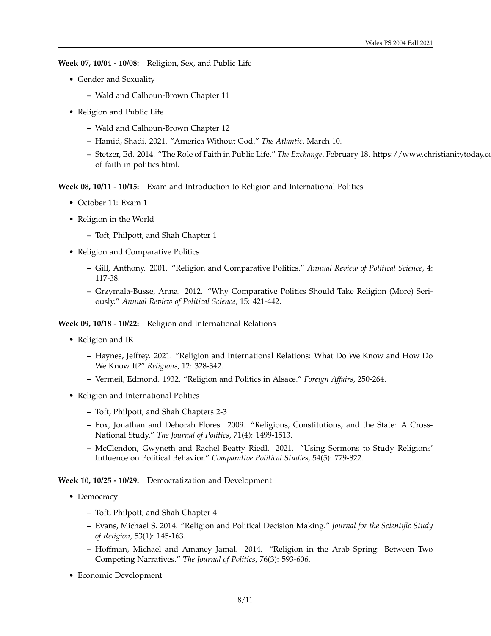**Week 07, 10/04 - 10/08:** Religion, Sex, and Public Life

- Gender and Sexuality
	- **–** Wald and Calhoun-Brown Chapter 11
- Religion and Public Life
	- **–** Wald and Calhoun-Brown Chapter 12
	- **–** Hamid, Shadi. 2021. "America Without God." *The Atlantic*, March 10.
	- **–** Stetzer, Ed. 2014. "The Role of Faith in Public Life." *The Exchange*, February 18. https://www.christianitytoday.com/edstetzer/2014/february/roleof-faith-in-politics.html.

**Week 08, 10/11 - 10/15:** Exam and Introduction to Religion and International Politics

- October 11: Exam 1
- Religion in the World
	- **–** Toft, Philpott, and Shah Chapter 1
- Religion and Comparative Politics
	- **–** Gill, Anthony. 2001. "Religion and Comparative Politics." *Annual Review of Political Science*, 4: 117-38.
	- **–** Grzymala-Busse, Anna. 2012. "Why Comparative Politics Should Take Religion (More) Seriously." *Annual Review of Political Science*, 15: 421-442.

**Week 09, 10/18 - 10/22:** Religion and International Relations

- Religion and IR
	- **–** Haynes, Jeffrey. 2021. "Religion and International Relations: What Do We Know and How Do We Know It?" *Religions*, 12: 328-342.
	- **–** Vermeil, Edmond. 1932. "Religion and Politics in Alsace." *Foreign Affairs*, 250-264.
- Religion and International Politics
	- **–** Toft, Philpott, and Shah Chapters 2-3
	- **–** Fox, Jonathan and Deborah Flores. 2009. "Religions, Constitutions, and the State: A Cross-National Study." *The Journal of Politics*, 71(4): 1499-1513.
	- **–** McClendon, Gwyneth and Rachel Beatty Riedl. 2021. "Using Sermons to Study Religions' Influence on Political Behavior." *Comparative Political Studies*, 54(5): 779-822.

**Week 10, 10/25 - 10/29:** Democratization and Development

- Democracy
	- **–** Toft, Philpott, and Shah Chapter 4
	- **–** Evans, Michael S. 2014. "Religion and Political Decision Making." *Journal for the Scientific Study of Religion*, 53(1): 145-163.
	- **–** Hoffman, Michael and Amaney Jamal. 2014. "Religion in the Arab Spring: Between Two Competing Narratives." *The Journal of Politics*, 76(3): 593-606.
- Economic Development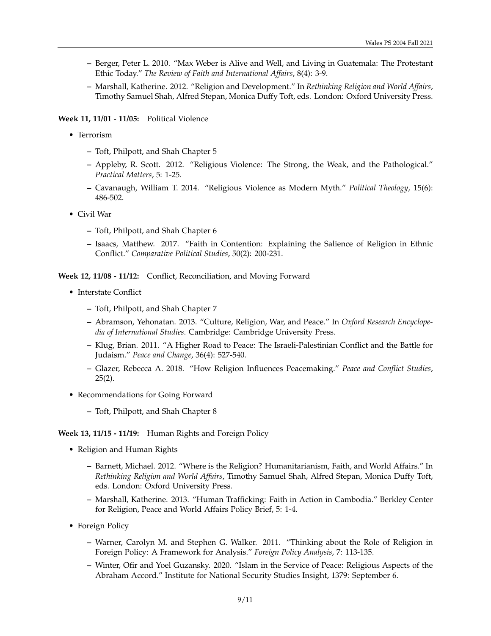- **–** Berger, Peter L. 2010. "Max Weber is Alive and Well, and Living in Guatemala: The Protestant Ethic Today." *The Review of Faith and International Affairs*, 8(4): 3-9.
- **–** Marshall, Katherine. 2012. "Religion and Development." In *Rethinking Religion and World Affairs*, Timothy Samuel Shah, Alfred Stepan, Monica Duffy Toft, eds. London: Oxford University Press.

#### **Week 11, 11/01 - 11/05:** Political Violence

- Terrorism
	- **–** Toft, Philpott, and Shah Chapter 5
	- **–** Appleby, R. Scott. 2012. "Religious Violence: The Strong, the Weak, and the Pathological." *Practical Matters*, 5: 1-25.
	- **–** Cavanaugh, William T. 2014. "Religious Violence as Modern Myth." *Political Theology*, 15(6): 486-502.
- Civil War
	- **–** Toft, Philpott, and Shah Chapter 6
	- **–** Isaacs, Matthew. 2017. "Faith in Contention: Explaining the Salience of Religion in Ethnic Conflict." *Comparative Political Studies*, 50(2): 200-231.

**Week 12, 11/08 - 11/12:** Conflict, Reconciliation, and Moving Forward

- Interstate Conflict
	- **–** Toft, Philpott, and Shah Chapter 7
	- **–** Abramson, Yehonatan. 2013. "Culture, Religion, War, and Peace." In *Oxford Research Encyclopedia of International Studies*. Cambridge: Cambridge University Press.
	- **–** Klug, Brian. 2011. "A Higher Road to Peace: The Israeli-Palestinian Conflict and the Battle for Judaism." *Peace and Change*, 36(4): 527-540.
	- **–** Glazer, Rebecca A. 2018. "How Religion Influences Peacemaking." *Peace and Conflict Studies*,  $25(2)$ .
- Recommendations for Going Forward
	- **–** Toft, Philpott, and Shah Chapter 8

#### **Week 13, 11/15 - 11/19:** Human Rights and Foreign Policy

- Religion and Human Rights
	- **–** Barnett, Michael. 2012. "Where is the Religion? Humanitarianism, Faith, and World Affairs." In *Rethinking Religion and World Affairs*, Timothy Samuel Shah, Alfred Stepan, Monica Duffy Toft, eds. London: Oxford University Press.
	- **–** Marshall, Katherine. 2013. "Human Trafficking: Faith in Action in Cambodia." Berkley Center for Religion, Peace and World Affairs Policy Brief, 5: 1-4.
- Foreign Policy
	- **–** Warner, Carolyn M. and Stephen G. Walker. 2011. "Thinking about the Role of Religion in Foreign Policy: A Framework for Analysis." *Foreign Policy Analysis*, 7: 113-135.
	- **–** Winter, Ofir and Yoel Guzansky. 2020. "Islam in the Service of Peace: Religious Aspects of the Abraham Accord." Institute for National Security Studies Insight, 1379: September 6.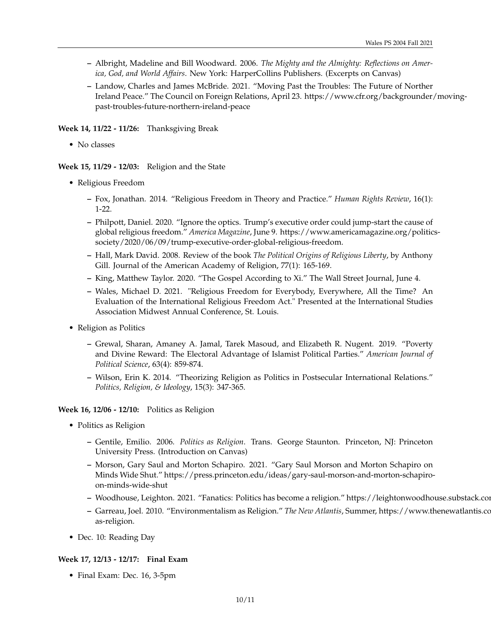- **–** Albright, Madeline and Bill Woodward. 2006. *The Mighty and the Almighty: Reflections on America, God, and World Affairs*. New York: HarperCollins Publishers. (Excerpts on Canvas)
- **–** Landow, Charles and James McBride. 2021. "Moving Past the Troubles: The Future of Norther Ireland Peace." The Council on Foreign Relations, April 23. https://www.cfr.org/backgrounder/movingpast-troubles-future-northern-ireland-peace

**Week 14, 11/22 - 11/26:** Thanksgiving Break

• No classes

**Week 15, 11/29 - 12/03:** Religion and the State

- Religious Freedom
	- **–** Fox, Jonathan. 2014. "Religious Freedom in Theory and Practice." *Human Rights Review*, 16(1): 1-22.
	- **–** Philpott, Daniel. 2020. "Ignore the optics. Trump's executive order could jump-start the cause of global religious freedom." *America Magazine*, June 9. https://www.americamagazine.org/politicssociety/2020/06/09/trump-executive-order-global-religious-freedom.
	- **–** Hall, Mark David. 2008. Review of the book *The Political Origins of Religious Liberty*, by Anthony Gill. Journal of the American Academy of Religion, 77(1): 165-169.
	- **–** King, Matthew Taylor. 2020. "The Gospel According to Xi." The Wall Street Journal, June 4.
	- **–** Wales, Michael D. 2021. "Religious Freedom for Everybody, Everywhere, All the Time? An Evaluation of the International Religious Freedom Act." Presented at the International Studies Association Midwest Annual Conference, St. Louis.
- Religion as Politics
	- **–** Grewal, Sharan, Amaney A. Jamal, Tarek Masoud, and Elizabeth R. Nugent. 2019. "Poverty and Divine Reward: The Electoral Advantage of Islamist Political Parties." *American Journal of Political Science*, 63(4): 859-874.
	- **–** Wilson, Erin K. 2014. "Theorizing Religion as Politics in Postsecular International Relations." *Politics, Religion, & Ideology*, 15(3): 347-365.

**Week 16, 12/06 - 12/10:** Politics as Religion

- Politics as Religion
	- **–** Gentile, Emilio. 2006. *Politics as Religion*. Trans. George Staunton. Princeton, NJ: Princeton University Press. (Introduction on Canvas)
	- **–** Morson, Gary Saul and Morton Schapiro. 2021. "Gary Saul Morson and Morton Schapiro on Minds Wide Shut." https://press.princeton.edu/ideas/gary-saul-morson-and-morton-schapiroon-minds-wide-shut
	- **–** Woodhouse, Leighton. 2021. "Fanatics: Politics has become a religion." https://leightonwoodhouse.substack.com/p/fanatics
	- **–** Garreau, Joel. 2010. "Environmentalism as Religion." *The New Atlantis*, Summer, https://www.thenewatlantis.com/publications/environmentalismas-religion.
- Dec. 10: Reading Day

#### **Week 17, 12/13 - 12/17: Final Exam**

• Final Exam: Dec. 16, 3-5pm